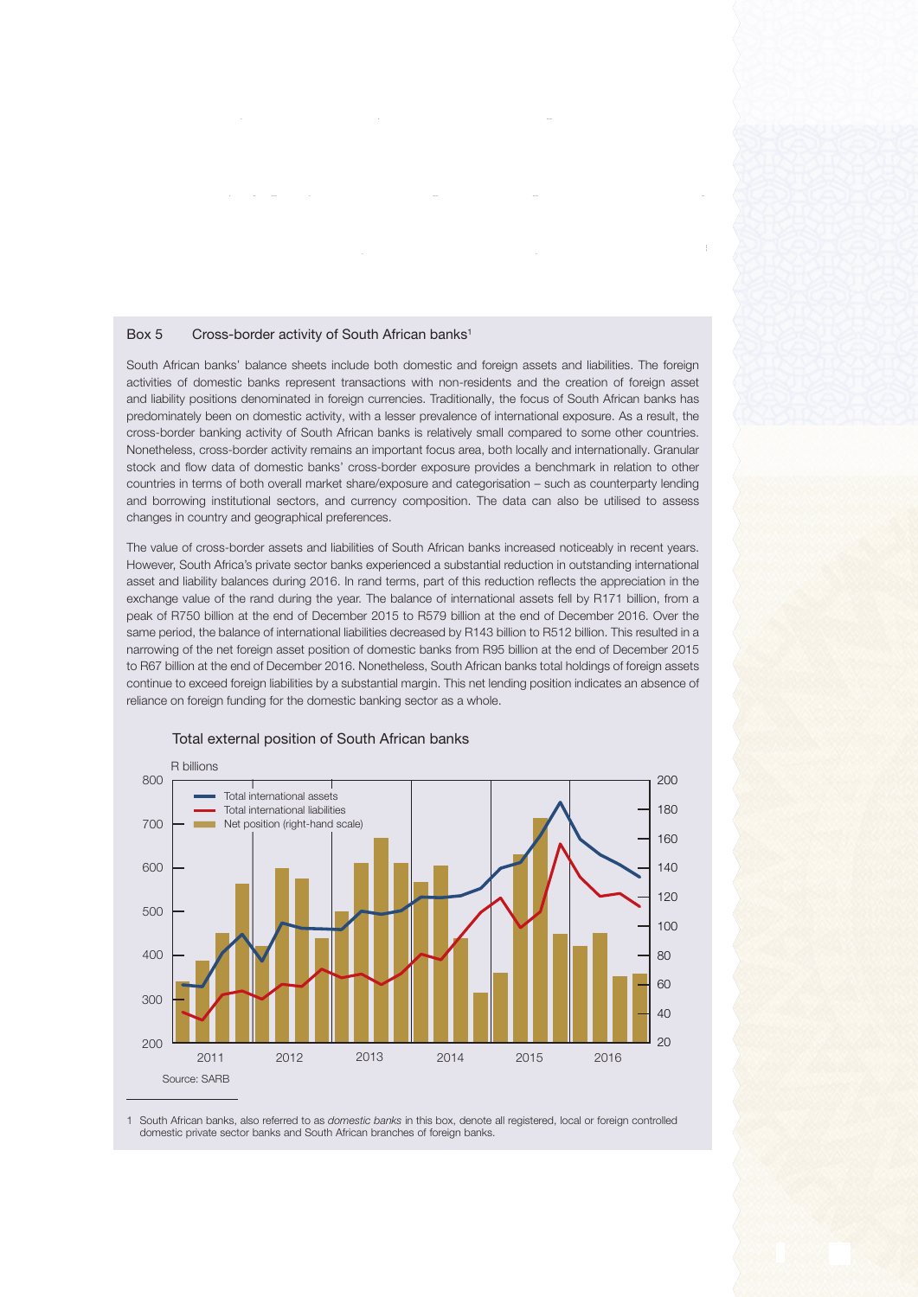## Box 5 Cross-border activity of South African banks<sup>1</sup>

South African banks' balance sheets include both domestic and foreign assets and liabilities. The foreign activities of domestic banks represent transactions with non-residents and the creation of foreign asset and liability positions denominated in foreign currencies. Traditionally, the focus of South African banks has predominately been on domestic activity, with a lesser prevalence of international exposure. As a result, the cross-border banking activity of South African banks is relatively small compared to some other countries. Nonetheless, cross-border activity remains an important focus area, both locally and internationally. Granular stock and flow data of domestic banks' cross-border exposure provides a benchmark in relation to other countries in terms of both overall market share/exposure and categorisation – such as counterparty lending and borrowing institutional sectors, and currency composition. The data can also be utilised to assess changes in country and geographical preferences.

 $\mathcal{I}_{\mathcal{A}}$  sense, the increase in M3 during the fourth quarter of 2016 could be attributed be attributed be at to all counterparties, with the exception of net claims on the exception of net claims on the government sector which which which which which we can except a sector which which which we can except a sector which which we decreased as an increase in deposits of the government sector exceeded investments in  $g_{\rm eff}$  sector. The increase in net foreign assets resulted when  $\eta$ a decline in the foreign liabilities of the monetary sector exceeded the decline in their foreign assets. The accompanying box provides function  $\mathcal{D}_\mathcal{A}$ of South African banks. The revaluation effect on foreign assets was balanced through a rise

sector. The moderation in claims on the private sector in the fourth quarter of 2016 reflected the

The value of cross-border assets and liabilities of South African banks increased noticeably in recent years. However, South Africa's private sector banks experienced a substantial reduction in outstanding international asset and liability balances during 2016. In rand terms, part of this reduction reflects the appreciation in the exchange value of the rand during the year. The balance of international assets fell by R171 billion, from a peak of R750 billion at the end of December 2015 to R579 billion at the end of December 2016. Over the same period, the balance of international liabilities decreased by R143 billion to R512 billion. This resulted in a narrowing of the net foreign asset position of domestic banks from R95 billion at the end of December 2015 to R67 billion at the end of December 2016. Nonetheless, South African banks total holdings of foreign assets continue to exceed foreign liabilities by a substantial margin. This net lending position indicates an absence of reliance on foreign funding for the domestic banking sector as a whole.



## Total external position of South African banks

1 South African banks, also referred to as *domestic banks* in this box, denote all registered, local or foreign controlled domestic private sector banks and South African branches of foreign banks.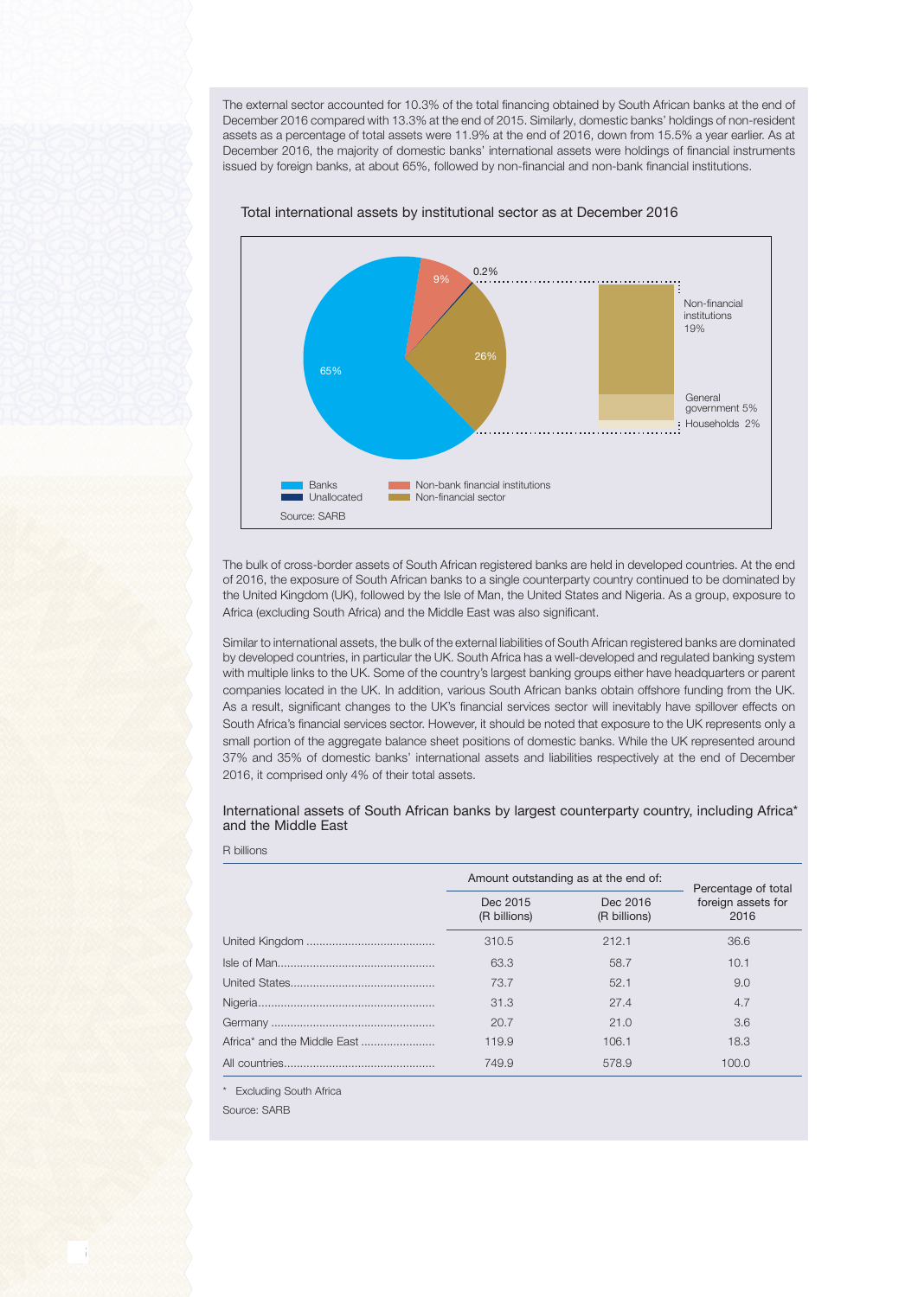The external sector accounted for 10.3% of the total financing obtained by South African banks at the end of December 2016 compared with 13.3% at the end of 2015. Similarly, domestic banks' holdings of non-resident assets as a percentage of total assets were 11.9% at the end of 2016, down from 15.5% a year earlier. As at December 2016, the majority of domestic banks' international assets were holdings of financial instruments issued by foreign banks, at about 65%, followed by non-financial and non-bank financial institutions.



Total international assets by institutional sector as at December 2016

The bulk of cross-border assets of South African registered banks are held in developed countries. At the end of 2016, the exposure of South African banks to a single counterparty country continued to be dominated by the United Kingdom (UK), followed by the Isle of Man, the United States and Nigeria. As a group, exposure to Africa (excluding South Africa) and the Middle East was also significant.

Similar to international assets, the bulk of the external liabilities of South African registered banks are dominated by developed countries, in particular the UK. South Africa has a well-developed and regulated banking system with multiple links to the UK. Some of the country's largest banking groups either have headquarters or parent companies located in the UK. In addition, various South African banks obtain offshore funding from the UK. As a result, significant changes to the UK's financial services sector will inevitably have spillover effects on South Africa's financial services sector. However, it should be noted that exposure to the UK represents only a small portion of the aggregate balance sheet positions of domestic banks. While the UK represented around 37% and 35% of domestic banks' international assets and liabilities respectively at the end of December 2016, it comprised only 4% of their total assets.

International assets of South African banks by largest counterparty country, including Africa\* and the Middle East

| Amount outstanding as at the end of: |                          | Percentage of total        |
|--------------------------------------|--------------------------|----------------------------|
| Dec 2015<br>(R billions)             | Dec 2016<br>(R billions) | foreign assets for<br>2016 |
| 310.5                                | 212.1                    | 36.6                       |
| 63.3                                 | 58.7                     | 10.1                       |
| 73.7                                 | 52.1                     | 9.0                        |
| 31.3                                 | 27.4                     | 4.7                        |
| 20.7                                 | 21.0                     | 3.6                        |
| 119.9                                | 106.1                    | 18.3                       |
| 749.9                                | 578.9                    | 100.0                      |

\* Excluding South Africa

Source: SARB

R billions